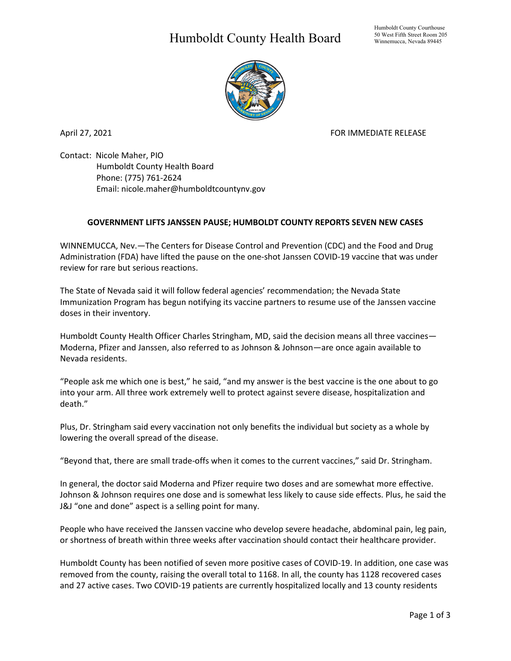## Humboldt County Health Board



April 27, 2021 **FOR IMMEDIATE RELEASE** 

Contact: Nicole Maher, PIO Humboldt County Health Board Phone: (775) 761-2624 Email: nicole.maher@humboldtcountynv.gov

## **GOVERNMENT LIFTS JANSSEN PAUSE; HUMBOLDT COUNTY REPORTS SEVEN NEW CASES**

WINNEMUCCA, Nev.—The Centers for Disease Control and Prevention (CDC) and the Food and Drug Administration (FDA) have lifted the pause on the one-shot Janssen COVID-19 vaccine that was under review for rare but serious reactions.

The State of Nevada said it will follow federal agencies' recommendation; the Nevada State Immunization Program has begun notifying its vaccine partners to resume use of the Janssen vaccine doses in their inventory.

Humboldt County Health Officer Charles Stringham, MD, said the decision means all three vaccines— Moderna, Pfizer and Janssen, also referred to as Johnson & Johnson—are once again available to Nevada residents.

"People ask me which one is best," he said, "and my answer is the best vaccine is the one about to go into your arm. All three work extremely well to protect against severe disease, hospitalization and death."

Plus, Dr. Stringham said every vaccination not only benefits the individual but society as a whole by lowering the overall spread of the disease.

"Beyond that, there are small trade-offs when it comes to the current vaccines," said Dr. Stringham.

In general, the doctor said Moderna and Pfizer require two doses and are somewhat more effective. Johnson & Johnson requires one dose and is somewhat less likely to cause side effects. Plus, he said the J&J "one and done" aspect is a selling point for many.

People who have received the Janssen vaccine who develop severe headache, abdominal pain, leg pain, or shortness of breath within three weeks after vaccination should contact their healthcare provider.

Humboldt County has been notified of seven more positive cases of COVID-19. In addition, one case was removed from the county, raising the overall total to 1168. In all, the county has 1128 recovered cases and 27 active cases. Two COVID-19 patients are currently hospitalized locally and 13 county residents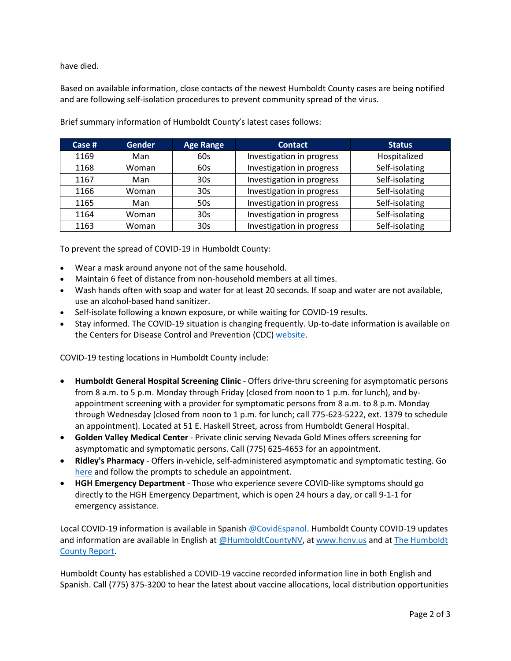have died.

Based on available information, close contacts of the newest Humboldt County cases are being notified and are following self-isolation procedures to prevent community spread of the virus.

| Case $#$ | <b>Gender</b> | <b>Age Range</b> | <b>Contact</b>            | <b>Status</b>  |
|----------|---------------|------------------|---------------------------|----------------|
| 1169     | Man           | 60s              | Investigation in progress | Hospitalized   |
| 1168     | Woman         | 60s              | Investigation in progress | Self-isolating |
| 1167     | Man           | 30 <sub>s</sub>  | Investigation in progress | Self-isolating |
| 1166     | Woman         | 30 <sub>s</sub>  | Investigation in progress | Self-isolating |
| 1165     | Man           | 50s              | Investigation in progress | Self-isolating |
| 1164     | Woman         | 30 <sub>s</sub>  | Investigation in progress | Self-isolating |
| 1163     | Woman         | 30 <sub>s</sub>  | Investigation in progress | Self-isolating |

Brief summary information of Humboldt County's latest cases follows:

To prevent the spread of COVID-19 in Humboldt County:

- Wear a mask around anyone not of the same household.
- Maintain 6 feet of distance from non-household members at all times.
- Wash hands often with soap and water for at least 20 seconds. If soap and water are not available, use an alcohol-based hand sanitizer.
- Self-isolate following a known exposure, or while waiting for COVID-19 results.
- Stay informed. The COVID-19 situation is changing frequently. Up-to-date information is available on the Centers for Disease Control and Prevention (CDC) [website.](http://www.cdc.gov/coronavirus/2019-ncov/index.html)

COVID-19 testing locations in Humboldt County include:

- **Humboldt General Hospital Screening Clinic** Offers drive-thru screening for asymptomatic persons from 8 a.m. to 5 p.m. Monday through Friday (closed from noon to 1 p.m. for lunch), and byappointment screening with a provider for symptomatic persons from 8 a.m. to 8 p.m. Monday through Wednesday (closed from noon to 1 p.m. for lunch; call 775-623-5222, ext. 1379 to schedule an appointment). Located at 51 E. Haskell Street, across from Humboldt General Hospital.
- **Golden Valley Medical Center** Private clinic serving Nevada Gold Mines offers screening for asymptomatic and symptomatic persons. Call (775) 625-4653 for an appointment.
- **Ridley's Pharmacy** Offers in-vehicle, self-administered asymptomatic and symptomatic testing. Go [here](https://www.doineedacovid19test.com/Winnemucca_NV_1098.html) and follow the prompts to schedule an appointment.
- **HGH Emergency Department**  Those who experience severe COVID-like symptoms should go directly to the HGH Emergency Department, which is open 24 hours a day, or call 9-1-1 for emergency assistance.

Local COVID-19 information is available in Spanish [@CovidEspanol.](https://www.facebook.com/CovidEspanol) Humboldt County COVID-19 updates and information are available in English at [@HumboldtCountyNV,](https://www.facebook.com/humboldtcountynv) at [www.hcnv.us](http://www.hcnv.us/) and at The Humboldt [County Report.](https://spark.adobe.com/page/llU1h2xbgNKeR/)

Humboldt County has established a COVID-19 vaccine recorded information line in both English and Spanish. Call (775) 375-3200 to hear the latest about vaccine allocations, local distribution opportunities